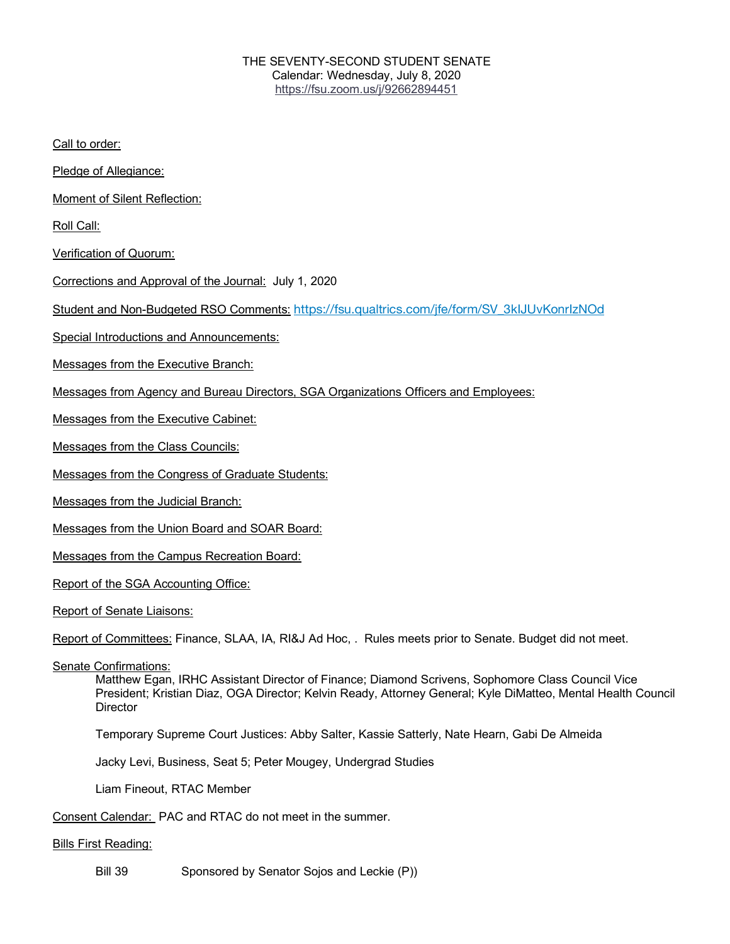### THE SEVENTY-SECOND STUDENT SENATE Calendar: Wednesday, July 8, 2020 https://fsu.zoom.us/j/92662894451

Call to order:

Pledge of Allegiance:

Moment of Silent Reflection:

Roll Call:

Verification of Quorum:

Corrections and Approval of the Journal: July 1, 2020

Student and Non-Budgeted RSO Comments: https://fsu.qualtrics.com/jfe/form/SV\_3kIJUvKonrIzNOd

Special Introductions and Announcements:

Messages from the Executive Branch:

Messages from Agency and Bureau Directors, SGA Organizations Officers and Employees:

Messages from the Executive Cabinet:

Messages from the Class Councils:

Messages from the Congress of Graduate Students:

Messages from the Judicial Branch:

Messages from the Union Board and SOAR Board:

Messages from the Campus Recreation Board:

Report of the SGA Accounting Office:

Report of Senate Liaisons:

Report of Committees: Finance, SLAA, IA, RI&J Ad Hoc, . Rules meets prior to Senate. Budget did not meet.

Senate Confirmations:

Matthew Egan, IRHC Assistant Director of Finance; Diamond Scrivens, Sophomore Class Council Vice President; Kristian Diaz, OGA Director; Kelvin Ready, Attorney General; Kyle DiMatteo, Mental Health Council **Director** 

Temporary Supreme Court Justices: Abby Salter, Kassie Satterly, Nate Hearn, Gabi De Almeida

Jacky Levi, Business, Seat 5; Peter Mougey, Undergrad Studies

Liam Fineout, RTAC Member

Consent Calendar: PAC and RTAC do not meet in the summer.

#### Bills First Reading:

Bill 39 Sponsored by Senator Sojos and Leckie (P))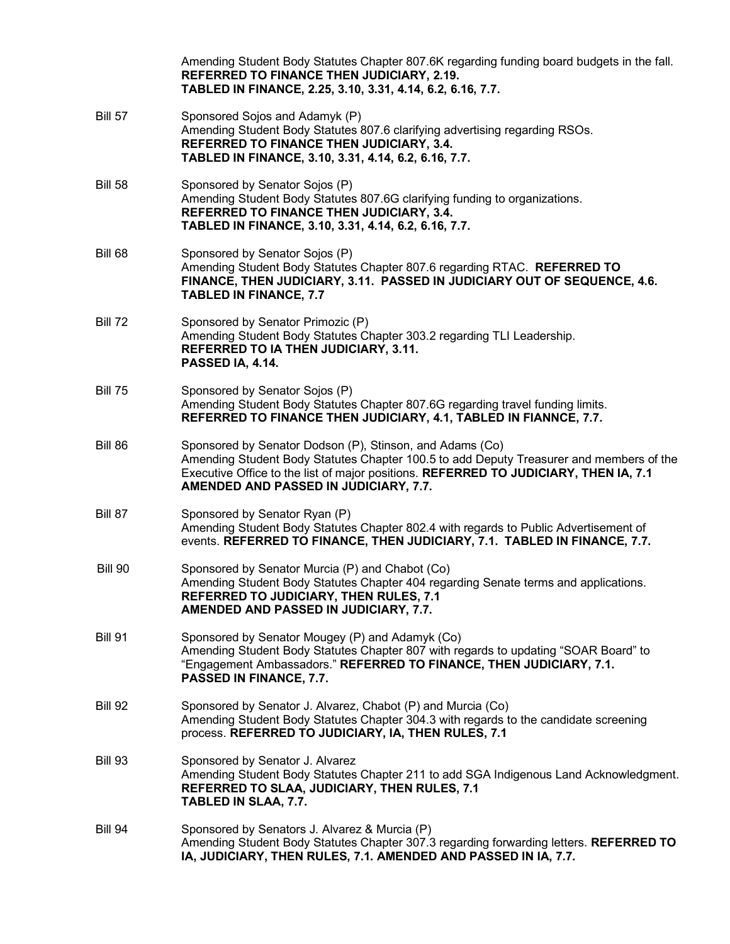|                | Amending Student Body Statutes Chapter 807.6K regarding funding board budgets in the fall.<br>REFERRED TO FINANCE THEN JUDICIARY, 2.19.<br>TABLED IN FINANCE, 2.25, 3.10, 3.31, 4.14, 6.2, 6.16, 7.7.                                                                                |
|----------------|--------------------------------------------------------------------------------------------------------------------------------------------------------------------------------------------------------------------------------------------------------------------------------------|
| <b>Bill 57</b> | Sponsored Sojos and Adamyk (P)<br>Amending Student Body Statutes 807.6 clarifying advertising regarding RSOs.<br><b>REFERRED TO FINANCE THEN JUDICIARY, 3.4.</b><br>TABLED IN FINANCE, 3.10, 3.31, 4.14, 6.2, 6.16, 7.7.                                                             |
| <b>Bill 58</b> | Sponsored by Senator Sojos (P)<br>Amending Student Body Statutes 807.6G clarifying funding to organizations.<br>REFERRED TO FINANCE THEN JUDICIARY, 3.4.<br>TABLED IN FINANCE, 3.10, 3.31, 4.14, 6.2, 6.16, 7.7.                                                                     |
| Bill 68        | Sponsored by Senator Sojos (P)<br>Amending Student Body Statutes Chapter 807.6 regarding RTAC. REFERRED TO<br>FINANCE, THEN JUDICIARY, 3.11. PASSED IN JUDICIARY OUT OF SEQUENCE, 4.6.<br><b>TABLED IN FINANCE, 7.7</b>                                                              |
| <b>Bill 72</b> | Sponsored by Senator Primozic (P)<br>Amending Student Body Statutes Chapter 303.2 regarding TLI Leadership.<br><b>REFERRED TO IA THEN JUDICIARY, 3.11.</b><br>PASSED IA, 4.14.                                                                                                       |
| <b>Bill 75</b> | Sponsored by Senator Sojos (P)<br>Amending Student Body Statutes Chapter 807.6G regarding travel funding limits.<br>REFERRED TO FINANCE THEN JUDICIARY, 4.1, TABLED IN FIANNCE, 7.7.                                                                                                 |
| Bill 86        | Sponsored by Senator Dodson (P), Stinson, and Adams (Co)<br>Amending Student Body Statutes Chapter 100.5 to add Deputy Treasurer and members of the<br>Executive Office to the list of major positions. REFERRED TO JUDICIARY, THEN IA, 7.1<br>AMENDED AND PASSED IN JUDICIARY, 7.7. |
| Bill 87        | Sponsored by Senator Ryan (P)<br>Amending Student Body Statutes Chapter 802.4 with regards to Public Advertisement of<br>events. REFERRED TO FINANCE, THEN JUDICIARY, 7.1. TABLED IN FINANCE, 7.7.                                                                                   |
| <b>Bill 90</b> | Sponsored by Senator Murcia (P) and Chabot (Co)<br>Amending Student Body Statutes Chapter 404 regarding Senate terms and applications.<br>REFERRED TO JUDICIARY, THEN RULES, 7.1<br>AMENDED AND PASSED IN JUDICIARY, 7.7.                                                            |
| <b>Bill 91</b> | Sponsored by Senator Mougey (P) and Adamyk (Co)<br>Amending Student Body Statutes Chapter 807 with regards to updating "SOAR Board" to<br>"Engagement Ambassadors." REFERRED TO FINANCE, THEN JUDICIARY, 7.1.<br><b>PASSED IN FINANCE, 7.7.</b>                                      |
| <b>Bill 92</b> | Sponsored by Senator J. Alvarez, Chabot (P) and Murcia (Co)<br>Amending Student Body Statutes Chapter 304.3 with regards to the candidate screening<br>process. REFERRED TO JUDICIARY, IA, THEN RULES, 7.1                                                                           |
| <b>Bill 93</b> | Sponsored by Senator J. Alvarez<br>Amending Student Body Statutes Chapter 211 to add SGA Indigenous Land Acknowledgment.<br>REFERRED TO SLAA, JUDICIARY, THEN RULES, 7.1<br>TABLED IN SLAA, 7.7.                                                                                     |
| Bill 94        | Sponsored by Senators J. Alvarez & Murcia (P)<br>Amending Student Body Statutes Chapter 307.3 regarding forwarding letters. REFERRED TO<br>IA, JUDICIARY, THEN RULES, 7.1. AMENDED AND PASSED IN IA, 7.7.                                                                            |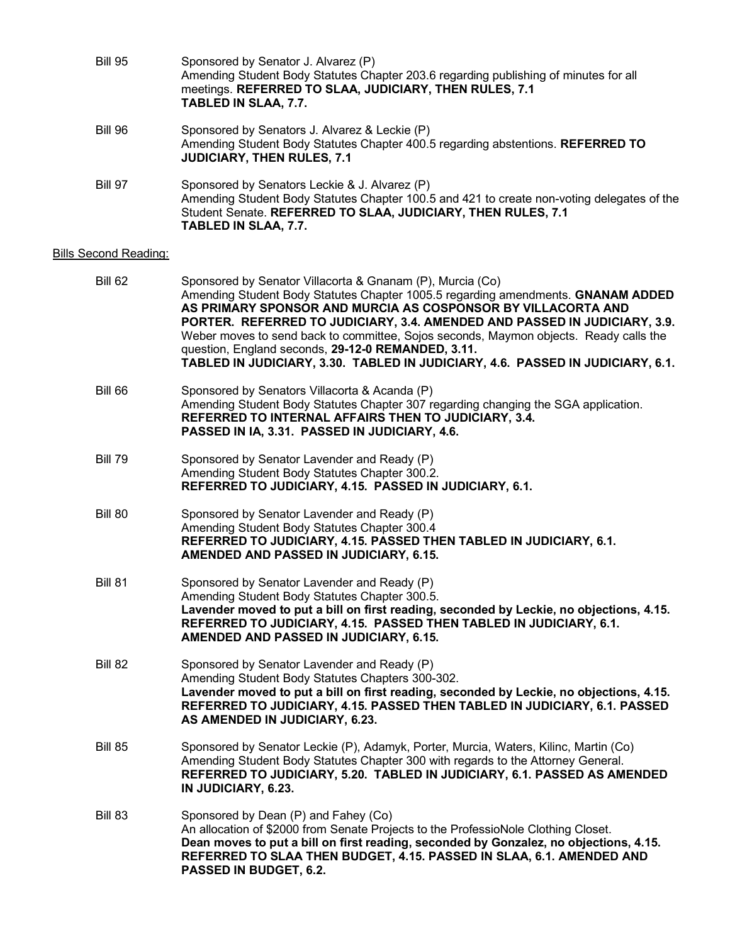| <b>Bill 95</b> | Sponsored by Senator J. Alvarez (P)<br>Amending Student Body Statutes Chapter 203.6 regarding publishing of minutes for all<br>meetings. REFERRED TO SLAA, JUDICIARY, THEN RULES, 7.1<br>TABLED IN SLAA, 7.7.                       |
|----------------|-------------------------------------------------------------------------------------------------------------------------------------------------------------------------------------------------------------------------------------|
| <b>Bill 96</b> | Sponsored by Senators J. Alvarez & Leckie (P)<br>Amending Student Body Statutes Chapter 400.5 regarding abstentions. REFERRED TO<br><b>JUDICIARY, THEN RULES, 7.1</b>                                                               |
| Bill 97        | Sponsored by Senators Leckie & J. Alvarez (P)<br>Amending Student Body Statutes Chapter 100.5 and 421 to create non-voting delegates of the<br>Student Senate. REFERRED TO SLAA, JUDICIARY, THEN RULES, 7.1<br>TABLED IN SLAA, 7.7. |

# **Bills Second Reading:**

| Bill 62        | Sponsored by Senator Villacorta & Gnanam (P), Murcia (Co)<br>Amending Student Body Statutes Chapter 1005.5 regarding amendments. GNANAM ADDED<br>AS PRIMARY SPONSOR AND MURCIA AS COSPONSOR BY VILLACORTA AND<br>PORTER. REFERRED TO JUDICIARY, 3.4. AMENDED AND PASSED IN JUDICIARY, 3.9.<br>Weber moves to send back to committee, Sojos seconds, Maymon objects. Ready calls the<br>question, England seconds, 29-12-0 REMANDED, 3.11.<br>TABLED IN JUDICIARY, 3.30. TABLED IN JUDICIARY, 4.6. PASSED IN JUDICIARY, 6.1. |
|----------------|-----------------------------------------------------------------------------------------------------------------------------------------------------------------------------------------------------------------------------------------------------------------------------------------------------------------------------------------------------------------------------------------------------------------------------------------------------------------------------------------------------------------------------|
| <b>Bill 66</b> | Sponsored by Senators Villacorta & Acanda (P)<br>Amending Student Body Statutes Chapter 307 regarding changing the SGA application.<br>REFERRED TO INTERNAL AFFAIRS THEN TO JUDICIARY, 3.4.<br>PASSED IN IA, 3.31. PASSED IN JUDICIARY, 4.6.                                                                                                                                                                                                                                                                                |
| <b>Bill 79</b> | Sponsored by Senator Lavender and Ready (P)<br>Amending Student Body Statutes Chapter 300.2.<br>REFERRED TO JUDICIARY, 4.15. PASSED IN JUDICIARY, 6.1.                                                                                                                                                                                                                                                                                                                                                                      |
| Bill 80        | Sponsored by Senator Lavender and Ready (P)<br>Amending Student Body Statutes Chapter 300.4<br>REFERRED TO JUDICIARY, 4.15. PASSED THEN TABLED IN JUDICIARY, 6.1.<br>AMENDED AND PASSED IN JUDICIARY, 6.15.                                                                                                                                                                                                                                                                                                                 |
| <b>Bill 81</b> | Sponsored by Senator Lavender and Ready (P)<br>Amending Student Body Statutes Chapter 300.5.<br>Lavender moved to put a bill on first reading, seconded by Leckie, no objections, 4.15.<br>REFERRED TO JUDICIARY, 4.15. PASSED THEN TABLED IN JUDICIARY, 6.1.<br>AMENDED AND PASSED IN JUDICIARY, 6.15.                                                                                                                                                                                                                     |
| <b>Bill 82</b> | Sponsored by Senator Lavender and Ready (P)<br>Amending Student Body Statutes Chapters 300-302.<br>Lavender moved to put a bill on first reading, seconded by Leckie, no objections, 4.15.<br>REFERRED TO JUDICIARY, 4.15. PASSED THEN TABLED IN JUDICIARY, 6.1. PASSED<br>AS AMENDED IN JUDICIARY, 6.23.                                                                                                                                                                                                                   |
| <b>Bill 85</b> | Sponsored by Senator Leckie (P), Adamyk, Porter, Murcia, Waters, Kilinc, Martin (Co)<br>Amending Student Body Statutes Chapter 300 with regards to the Attorney General.<br>REFERRED TO JUDICIARY, 5.20. TABLED IN JUDICIARY, 6.1. PASSED AS AMENDED<br>IN JUDICIARY, 6.23.                                                                                                                                                                                                                                                 |
| Bill 83        | Sponsored by Dean (P) and Fahey (Co)<br>An allocation of \$2000 from Senate Projects to the ProfessioNole Clothing Closet.<br>Dean moves to put a bill on first reading, seconded by Gonzalez, no objections, 4.15.<br>REFERRED TO SLAA THEN BUDGET, 4.15. PASSED IN SLAA, 6.1. AMENDED AND<br>PASSED IN BUDGET, 6.2.                                                                                                                                                                                                       |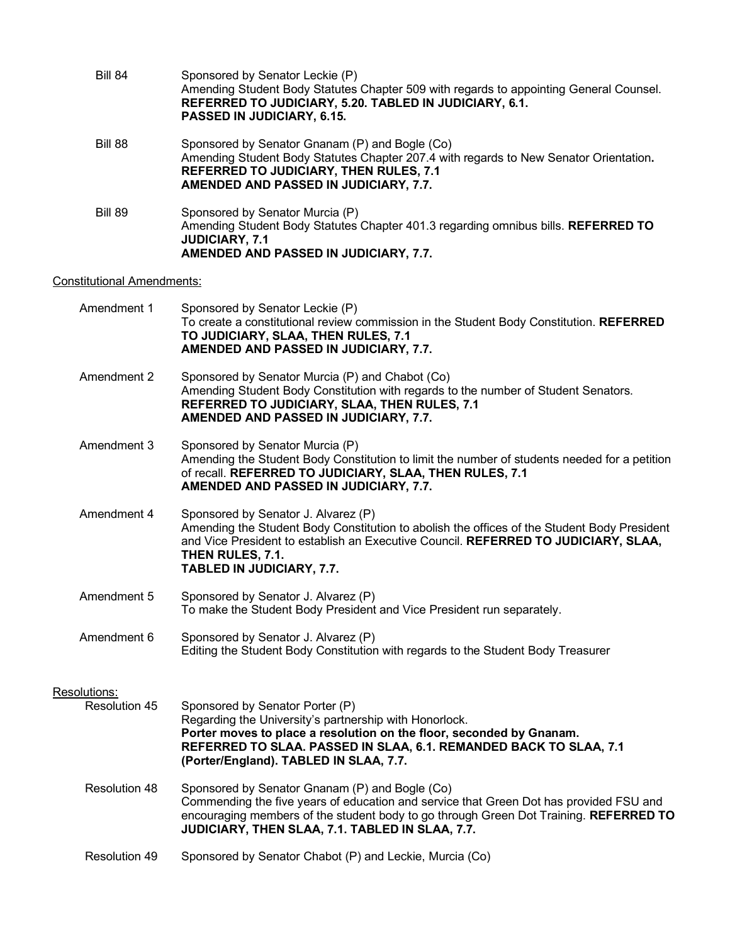| Bill 84 | Sponsored by Senator Leckie (P)<br>Amending Student Body Statutes Chapter 509 with regards to appointing General Counsel.<br>REFERRED TO JUDICIARY, 5.20. TABLED IN JUDICIARY, 6.1.<br>PASSED IN JUDICIARY, 6.15.                 |
|---------|-----------------------------------------------------------------------------------------------------------------------------------------------------------------------------------------------------------------------------------|
| Bill 88 | Sponsored by Senator Gnanam (P) and Bogle (Co)<br>Amending Student Body Statutes Chapter 207.4 with regards to New Senator Orientation.<br><b>REFERRED TO JUDICIARY, THEN RULES, 7.1</b><br>AMENDED AND PASSED IN JUDICIARY, 7.7. |
| Bill 89 | Sponsored by Senator Murcia (P)<br>Amending Student Body Statutes Chapter 401.3 regarding omnibus bills. REFERRED TO<br><b>JUDICIARY, 7.1</b><br>AMENDED AND PASSED IN JUDICIARY, 7.7.                                            |

## Constitutional Amendments:

| Amendment 1   | Sponsored by Senator Leckie (P)<br>To create a constitutional review commission in the Student Body Constitution. REFERRED<br>TO JUDICIARY, SLAA, THEN RULES, 7.1<br>AMENDED AND PASSED IN JUDICIARY, 7.7.                                                                           |
|---------------|--------------------------------------------------------------------------------------------------------------------------------------------------------------------------------------------------------------------------------------------------------------------------------------|
| Amendment 2   | Sponsored by Senator Murcia (P) and Chabot (Co)<br>Amending Student Body Constitution with regards to the number of Student Senators.<br>REFERRED TO JUDICIARY, SLAA, THEN RULES, 7.1<br>AMENDED AND PASSED IN JUDICIARY, 7.7.                                                       |
| Amendment 3   | Sponsored by Senator Murcia (P)<br>Amending the Student Body Constitution to limit the number of students needed for a petition<br>of recall. REFERRED TO JUDICIARY, SLAA, THEN RULES, 7.1<br>AMENDED AND PASSED IN JUDICIARY, 7.7.                                                  |
| Amendment 4   | Sponsored by Senator J. Alvarez (P)<br>Amending the Student Body Constitution to abolish the offices of the Student Body President<br>and Vice President to establish an Executive Council. REFERRED TO JUDICIARY, SLAA,<br>THEN RULES, 7.1.<br>TABLED IN JUDICIARY, 7.7.            |
| Amendment 5   | Sponsored by Senator J. Alvarez (P)<br>To make the Student Body President and Vice President run separately.                                                                                                                                                                         |
| Amendment 6   | Sponsored by Senator J. Alvarez (P)<br>Editing the Student Body Constitution with regards to the Student Body Treasurer                                                                                                                                                              |
| Resolutions:  |                                                                                                                                                                                                                                                                                      |
| Resolution 45 | Sponsored by Senator Porter (P)<br>Regarding the University's partnership with Honorlock.<br>Porter moves to place a resolution on the floor, seconded by Gnanam.<br>REFERRED TO SLAA. PASSED IN SLAA, 6.1. REMANDED BACK TO SLAA, 7.1<br>(Porter/England). TABLED IN SLAA, 7.7.     |
| Resolution 48 | Sponsored by Senator Gnanam (P) and Bogle (Co)<br>Commending the five years of education and service that Green Dot has provided FSU and<br>encouraging members of the student body to go through Green Dot Training. REFERRED TO<br>JUDICIARY, THEN SLAA, 7.1. TABLED IN SLAA, 7.7. |
| Resolution 49 | Sponsored by Senator Chabot (P) and Leckie, Murcia (Co)                                                                                                                                                                                                                              |
|               |                                                                                                                                                                                                                                                                                      |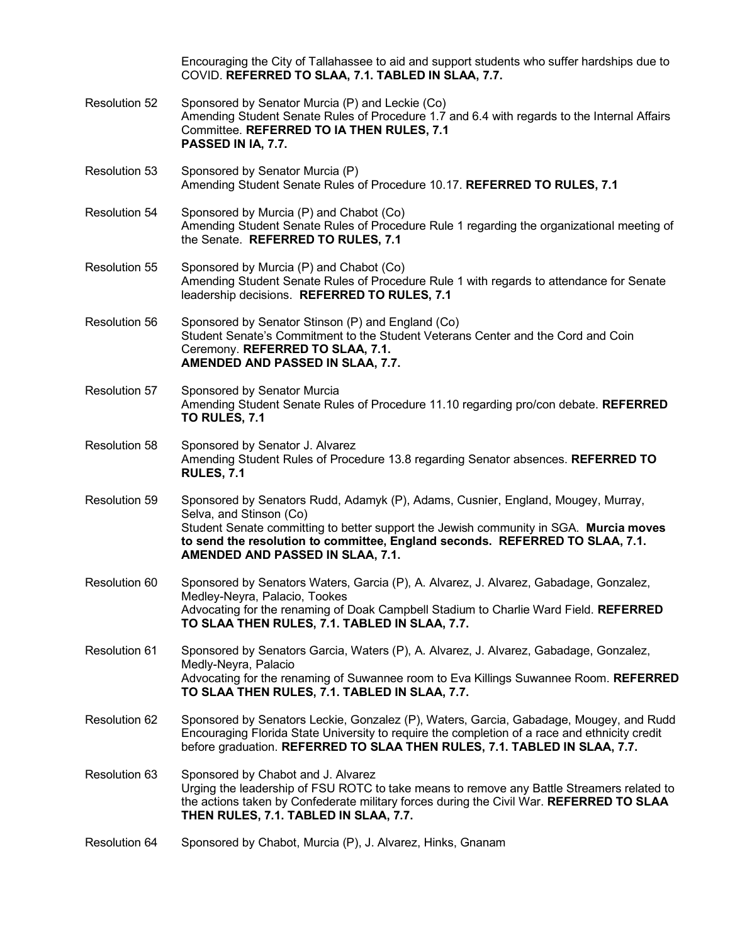Encouraging the City of Tallahassee to aid and support students who suffer hardships due to COVID. **REFERRED TO SLAA, 7.1. TABLED IN SLAA, 7.7.** Resolution 52 Sponsored by Senator Murcia (P) and Leckie (Co) Amending Student Senate Rules of Procedure 1.7 and 6.4 with regards to the Internal Affairs Committee. **REFERRED TO IA THEN RULES, 7.1 PASSED IN IA, 7.7.** Resolution 53 Sponsored by Senator Murcia (P) Amending Student Senate Rules of Procedure 10.17. **REFERRED TO RULES, 7.1** Resolution 54 Sponsored by Murcia (P) and Chabot (Co) Amending Student Senate Rules of Procedure Rule 1 regarding the organizational meeting of the Senate. **REFERRED TO RULES, 7.1** Resolution 55 Sponsored by Murcia (P) and Chabot (Co) Amending Student Senate Rules of Procedure Rule 1 with regards to attendance for Senate leadership decisions. **REFERRED TO RULES, 7.1** Resolution 56 Sponsored by Senator Stinson (P) and England (Co) Student Senate's Commitment to the Student Veterans Center and the Cord and Coin Ceremony. **REFERRED TO SLAA, 7.1. AMENDED AND PASSED IN SLAA, 7.7.**  Resolution 57 Sponsored by Senator Murcia Amending Student Senate Rules of Procedure 11.10 regarding pro/con debate. **REFERRED TO RULES, 7.1** Resolution 58 Sponsored by Senator J. Alvarez Amending Student Rules of Procedure 13.8 regarding Senator absences. **REFERRED TO RULES, 7.1** Resolution 59 Sponsored by Senators Rudd, Adamyk (P), Adams, Cusnier, England, Mougey, Murray, Selva, and Stinson (Co) Student Senate committing to better support the Jewish community in SGA. **Murcia moves to send the resolution to committee, England seconds. REFERRED TO SLAA, 7.1. AMENDED AND PASSED IN SLAA, 7.1.**  Resolution 60 Sponsored by Senators Waters, Garcia (P), A. Alvarez, J. Alvarez, Gabadage, Gonzalez, Medley-Neyra, Palacio, Tookes Advocating for the renaming of Doak Campbell Stadium to Charlie Ward Field. **REFERRED TO SLAA THEN RULES, 7.1. TABLED IN SLAA, 7.7.** Resolution 61 Sponsored by Senators Garcia, Waters (P), A. Alvarez, J. Alvarez, Gabadage, Gonzalez, Medly-Neyra, Palacio Advocating for the renaming of Suwannee room to Eva Killings Suwannee Room. **REFERRED TO SLAA THEN RULES, 7.1. TABLED IN SLAA, 7.7.** Resolution 62 Sponsored by Senators Leckie, Gonzalez (P), Waters, Garcia, Gabadage, Mougey, and Rudd Encouraging Florida State University to require the completion of a race and ethnicity credit before graduation. **REFERRED TO SLAA THEN RULES, 7.1. TABLED IN SLAA, 7.7.** Resolution 63 Sponsored by Chabot and J. Alvarez Urging the leadership of FSU ROTC to take means to remove any Battle Streamers related to the actions taken by Confederate military forces during the Civil War. **REFERRED TO SLAA THEN RULES, 7.1. TABLED IN SLAA, 7.7.** Resolution 64 Sponsored by Chabot, Murcia (P), J. Alvarez, Hinks, Gnanam